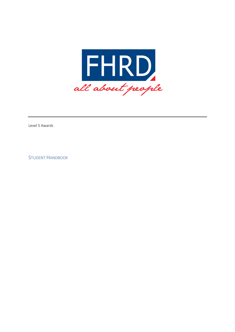

Level 5 Awards

STUDENT HANDBOOK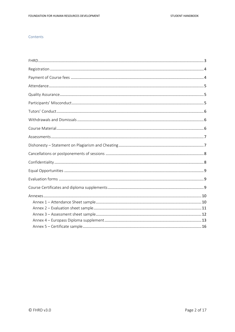# Contents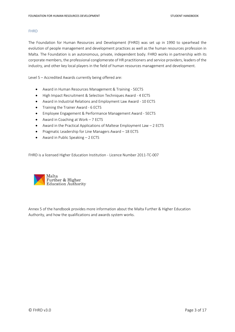## <span id="page-2-0"></span>FHRD

The Foundation for Human Resources and Development (FHRD) was set up in 1990 to spearhead the evolution of people management and development practices as well as the human resources profession in Malta. The Foundation is an autonomous, private, independent body. FHRD works in partnership with its corporate members, the professional conglomerate of HR practitioners and service providers, leaders of the industry, and other key local players in the field of human resources management and development.

Level 5 – Accredited Awards currently being offered are:

- Award in Human Resources Management & Training 5ECTS
- High Impact Recruitment & Selection Techniques Award 4 ECTS
- Award in Industrial Relations and Employment Law Award 10 ECTS
- Training the Trainer Award 6 ECTS
- Employee Engagement & Performance Management Award 5ECTS
- Award in Coaching at Work 7 ECTS
- Award in the Practical Applications of Maltese Employment Law 2 ECTS
- Pragmatic Leadership for Line Managers Award 18 ECTS
- Award in Public Speaking 2 ECTS

FHRD is a licensed Higher Education Institution - Licence Number 2011-TC-007



Annex 5 of the handbook provides more information about the Malta Further & Higher Education Authority, and how the qualifications and awards system works.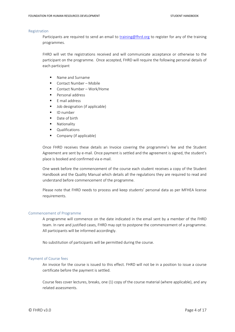#### <span id="page-3-0"></span>Registration

Participants are required to send an email to [training@fhrd.org](mailto:training@fhrd.org) to register for any of the training programmes.

FHRD will vet the registrations received and will communicate acceptance or otherwise to the participant on the programme. Once accepted, FHRD will require the following personal details of each participant

- Name and Surname
- Contact Number Mobile
- Contact Number Work/Home
- Personal address
- F mail address
- Job designation (if applicable)
- ID number
- Date of birth
- Nationality
- **Qualifications**
- Company (if applicable)

Once FHRD receives these details an Invoice covering the programme's fee and the Student Agreement are sent by e-mail. Once payment is settled and the agreement is signed, the student's place is booked and confirmed via e-mail.

One week before the commencement of the course each student receives a copy of the Student Handbook and the Quality Manual which details all the regulations they are required to read and understand before commencement of the programme.

Please note that FHRD needs to process and keep students' personal data as per MFHEA license requirements.

## Commencement of Programme

A programme will commence on the date indicated in the email sent by a member of the FHRD team. In rare and justified cases, FHRD may opt to postpone the commencement of a programme. All participants will be informed accordingly.

No substitution of participants will be permitted during the course.

## <span id="page-3-1"></span>Payment of Course fees

An invoice for the course is issued to this effect. FHRD will not be in a position to issue a course certificate before the payment is settled.

Course fees cover lectures, breaks, one (1) copy of the course material (where applicable), and any related assessments.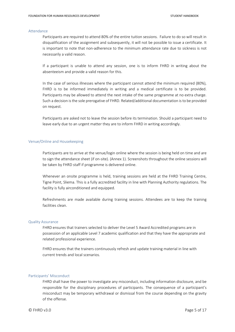### <span id="page-4-0"></span>Attendance

Participants are required to attend 80% of the entire tuition sessions. Failure to do so will result in disqualification of the assignment and subsequently, it will not be possible to issue a certificate. It is important to note that non-adherence to the minimum attendance rate due to sickness is not necessarily a valid reason.

If a participant is unable to attend any session, one is to inform FHRD in writing about the absenteeism and provide a valid reason for this.

In the case of serious illnesses where the participant cannot attend the minimum required (80%), FHRD is to be informed immediately in writing and a medical certificate is to be provided. Participants may be allowed to attend the next intake of the same programme at no extra charge. Such a decision is the sole prerogative of FHRD. Related/additional documentation is to be provided on request.

Participants are asked not to leave the session before its termination. Should a participant need to leave early due to an urgent matter they are to inform FHRD in writing accordingly.

#### Venue/Online and Housekeeping

Participants are to arrive at the venue/login online where the session is being held on time and are to sign the attendance sheet (if on-site). (Annex 1). Screenshots throughout the online sessions will be taken by FHRD staff if programme is delivered online.

Whenever an onsite programme is held, training sessions are held at the FHRD Training Centre, Tigne Point, Sliema. This is a fully accredited facility in line with Planning Authority regulations. The facility is fully airconditioned and equipped.

Refreshments are made available during training sessions. Attendees are to keep the training facilities clean.

#### <span id="page-4-1"></span>Quality Assurance

FHRD ensures that trainers selected to deliver the Level 5 Award Accredited programs are in possession of an applicable Level 7 academic qualification and that they have the appropriate and related professional experience.

FHRD ensures that the trainers continuously refresh and update training material in line with current trends and local scenarios.

#### <span id="page-4-2"></span>Participants' Misconduct

FHRD shall have the power to investigate any misconduct, including information disclosure, and be responsible for the disciplinary procedures of participants. The consequence of a participant's misconduct may be temporary withdrawal or dismissal from the course depending on the gravity of the offense.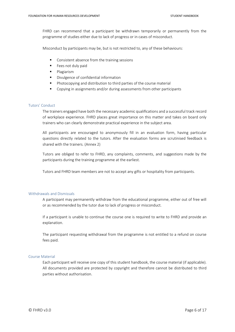FHRD can recommend that a participant be withdrawn temporarily or permanently from the programme of studies either due to lack of progress or in cases of misconduct.

Misconduct by participants may be, but is not restricted to, any of these behaviours:

- Consistent absence from the training sessions
- Fees not duly paid
- Plagiarism
- Divulgence of confidential information
- Photocopying and distribution to third parties of the course material
- Copying in assignments and/or during assessments from other participants

## <span id="page-5-0"></span>Tutors' Conduct

The trainers engaged have both the necessary academic qualifications and a successful track record of workplace experience. FHRD places great importance on this matter and takes on board only trainers who can clearly demonstrate practical experience in the subject area.

All participants are encouraged to anonymously fill in an evaluation form, having particular questions directly related to the tutors. After the evaluation forms are scrutinised feedback is shared with the trainers. (Annex 2)

Tutors are obliged to refer to FHRD, any complaints, comments, and suggestions made by the participants during the training programme at the earliest.

Tutors and FHRD team members are not to accept any gifts or hospitality from participants.

## <span id="page-5-1"></span>Withdrawals and Dismissals

A participant may permanently withdraw from the educational programme, either out of free will or as recommended by the tutor due to lack of progress or misconduct.

If a participant is unable to continue the course one is required to write to FHRD and provide an explanation.

The participant requesting withdrawal from the programme is not entitled to a refund on course fees paid.

## <span id="page-5-2"></span>Course Material

Each participant will receive one copy of this student handbook, the course material (if applicable). All documents provided are protected by copyright and therefore cannot be distributed to third parties without authorisation.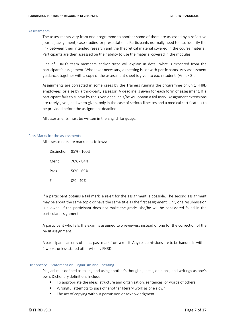#### <span id="page-6-0"></span>Assessments

The assessments vary from one programme to another some of them are assessed by a reflective journal, assignment, case studies, or presentations. Participants normally need to also identify the link between their intended research and the theoretical material covered in the course material. Participants are then assessed on their ability to use the material covered in the modules.

One of FHRD's team members and/or tutor will explain in detail what is expected from the participant's assignment. Whenever necessary, a meeting is set with participants. Any assessment guidance, together with a copy of the assessment sheet is given to each student. (Annex 3).

Assignments are corrected in some cases by the Trainers running the programme or unit, FHRD employees, or else by a third-party assessor. A deadline is given for each form of assessment. If a participant fails to submit by the given deadline s/he will obtain a fail mark. Assignment extensions are rarely given, and when given, only in the case of serious illnesses and a medical certificate is to be provided before the assignment deadline.

All assessments must be written in the English language.

#### Pass Marks for the assessments

All assessments are marked as follows:

|       | Distinction 85% - 100% |
|-------|------------------------|
| Merit | 70% - 84%              |
| Pass  | 50% - 69%              |
| Fail  | 0% - 49%               |

If a participant obtains a fail mark, a re-sit for the assignment is possible. The second assignment may be about the same topic or have the same title as the first assignment. Only one resubmission is allowed. If the participant does not make the grade, she/he will be considered failed in the particular assignment.

A participant who fails the exam is assigned two reviewers instead of one for the correction of the re-sit assignment.

A participant can only obtain a pass mark from a re-sit. Any resubmissions are to be handed in within 2 weeks unless stated otherwise by FHRD.

## <span id="page-6-1"></span>Dishonesty – Statement on Plagiarism and Cheating

Plagiarism is defined as taking and using another's thoughts, ideas, opinions, and writings as one's own. Dictionary definitions include:

- To appropriate the ideas, structure and organisation, sentences, or words of others
- Wrongful attempts to pass off another literary work as one's own
- The act of copying without permission or acknowledgment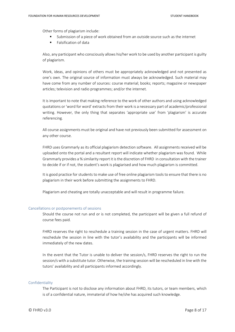Other forms of plagiarism include:

- Submission of a piece of work obtained from an outside source such as the internet
- Falsification of data

Also, any participant who consciously allows his/her work to be used by another participant is guilty of plagiarism.

Work, ideas, and opinions of others must be appropriately acknowledged and not presented as one's own. The original source of information must always be acknowledged. Such material may have come from any number of sources: course material; books; reports; magazine or newspaper articles; television and radio programmes; and/or the internet.

It is important to note that making reference to the work of other authors and using acknowledged quotations or 'word for word' extracts from their work is a necessary part of academic/professional writing. However, the only thing that separates 'appropriate use' from 'plagiarism' is accurate referencing.

All course assignments must be original and have not previously been submitted for assessment on any other course.

FHRD uses Grammarly as its official plagiarism detection software. All assignments received will be uploaded onto the portal and a resultant report will indicate whether plagiarism was found. While Grammarly provides a % similarity report it is the discretion of FHRD in consultation with the trainer to decide if or if not, the student's work is plagiarised and how much plagiarism is committed.

It is good practice for students to make use of free online plagiarism tools to ensure that there is no plagiarism in their work before submitting the assignments to FHRD.

Plagiarism and cheating are totally unacceptable and will result in programme failure.

#### <span id="page-7-0"></span>Cancellations or postponements of sessions

Should the course not run and or is not completed, the participant will be given a full refund of course fees paid.

FHRD reserves the right to reschedule a training session in the case of urgent matters. FHRD will reschedule the session in line with the tutor's availability and the participants will be informed immediately of the new dates.

In the event that the Tutor is unable to deliver the session/s, FHRD reserves the right to run the session/s with a substitute tutor. Otherwise, the training session will be rescheduled in line with the tutors' availability and all participants informed accordingly.

## <span id="page-7-1"></span>Confidentiality

The Participant is not to disclose any information about FHRD, its tutors, or team members, which is of a confidential nature, immaterial of how he/she has acquired such knowledge.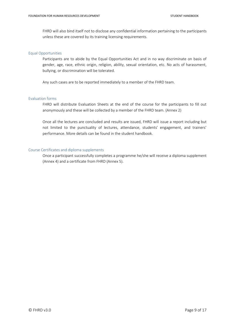FHRD will also bind itself not to disclose any confidential information pertaining to the participants unless these are covered by its training licensing requirements.

## <span id="page-8-0"></span>Equal Opportunities

Participants are to abide by the Equal Opportunities Act and in no way discriminate on basis of gender, age, race, ethnic origin, religion, ability, sexual orientation, etc. No acts of harassment, bullying, or discrimination will be tolerated.

Any such cases are to be reported immediately to a member of the FHRD team.

## <span id="page-8-1"></span>Evaluation forms

FHRD will distribute Evaluation Sheets at the end of the course for the participants to fill out anonymously and these will be collected by a member of the FHRD team. (Annex 2)

Once all the lectures are concluded and results are issued, FHRD will issue a report including but not limited to the punctuality of lectures, attendance, students' engagement, and trainers' performance. More details can be found in the student handbook.

## <span id="page-8-2"></span>Course Certificates and diploma supplements

Once a participant successfully completes a programme he/she will receive a diploma supplement (Annex 4) and a certificate from FHRD (Annex 5).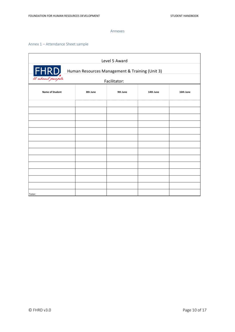#### Annexes

# <span id="page-9-1"></span><span id="page-9-0"></span>Annex 1 – Attendance Sheet sample

| Level 5 Award                                                             |          |              |           |           |  |  |  |  |
|---------------------------------------------------------------------------|----------|--------------|-----------|-----------|--|--|--|--|
| FHRD<br>ll about people<br>Human Resources Management & Training (Unit 3) |          |              |           |           |  |  |  |  |
|                                                                           |          | Facilitator: |           |           |  |  |  |  |
| <b>Name of Student</b>                                                    | 8th June | 9th June     | 14th June | 16th June |  |  |  |  |
|                                                                           |          |              |           |           |  |  |  |  |
|                                                                           |          |              |           |           |  |  |  |  |
|                                                                           |          |              |           |           |  |  |  |  |
|                                                                           |          |              |           |           |  |  |  |  |
|                                                                           |          |              |           |           |  |  |  |  |
|                                                                           |          |              |           |           |  |  |  |  |
|                                                                           |          |              |           |           |  |  |  |  |
|                                                                           |          |              |           |           |  |  |  |  |
|                                                                           |          |              |           |           |  |  |  |  |
|                                                                           |          |              |           |           |  |  |  |  |
|                                                                           |          |              |           |           |  |  |  |  |
|                                                                           |          |              |           |           |  |  |  |  |
|                                                                           |          |              |           |           |  |  |  |  |
| Tutor:                                                                    |          |              |           |           |  |  |  |  |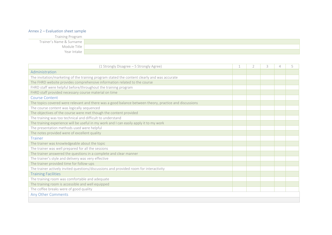# Annex 2 – Evaluation sheet sample

| Training Program         |  |
|--------------------------|--|
| Trainer's Name & Surname |  |
| Module Title             |  |
| Year Intake              |  |

<span id="page-10-0"></span>

| (1 Strongly Disagree - 5 Strongly Agree)                                                               | $\overline{2}$ | 3 |  |
|--------------------------------------------------------------------------------------------------------|----------------|---|--|
| Administration                                                                                         |                |   |  |
| The invitation/marketing of the training program stated the content clearly and was accurate           |                |   |  |
| The FHRD website provides comprehensive information related to the course                              |                |   |  |
| FHRD staff were helpful before/throughout the training program                                         |                |   |  |
| FHRD staff provided necessary course material on time                                                  |                |   |  |
| Course Content                                                                                         |                |   |  |
| The topics covered were relevant and there was a good balance between theory, practice and discussions |                |   |  |
| The course content was logically sequenced                                                             |                |   |  |
| The objectives of the course were met though the content provided                                      |                |   |  |
| The training was too technical and difficult to understand                                             |                |   |  |
| The training experience will be useful in my work and I can easily apply it to my work                 |                |   |  |
| The presentation methods used were helpful                                                             |                |   |  |
| The notes provided were of excellent quality                                                           |                |   |  |
| Trainer                                                                                                |                |   |  |
| The trainer was knowledgeable about the topic                                                          |                |   |  |
| The trainer was well prepared for all the sessions                                                     |                |   |  |
| The trainer answered the questions in a complete and clear manner                                      |                |   |  |
| The trainer's style and delivery was very effective                                                    |                |   |  |
| The trainer provided time for follow-ups                                                               |                |   |  |
| The trainer actively invited questions/discussions and provided room for interactivity                 |                |   |  |
| <b>Training Facilities</b>                                                                             |                |   |  |
| The training room was comfortable and adequate                                                         |                |   |  |
| The training room is accessible and well equipped                                                      |                |   |  |
| The coffee breaks were of good quality                                                                 |                |   |  |
| Any Other Comments                                                                                     |                |   |  |
|                                                                                                        |                |   |  |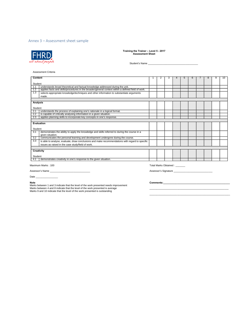## <span id="page-11-0"></span>Annex 3 – Assessment sheet sample



**Training the Trainer – Level 5 - 2017 Assessment Sheet**

Student's Name \_\_\_\_\_\_\_\_\_\_\_\_\_\_\_\_\_\_\_\_\_\_\_\_\_\_\_\_\_\_\_\_\_\_\_\_

#### Assessment Criteria

| Content    |                                                                                                    |  |  |  |  | h |  |  | 10 |
|------------|----------------------------------------------------------------------------------------------------|--|--|--|--|---|--|--|----|
| Student    |                                                                                                    |  |  |  |  |   |  |  |    |
| 1.1        | understands broad theoretical and factual knowledge addressed during the unit.                     |  |  |  |  |   |  |  |    |
| 1.2        | applies facts and skills/procedures in the broader/general context within a defined field of work. |  |  |  |  |   |  |  |    |
| 1.3        | selects appropriate knowledge/techniques and other information to substantiate arguments           |  |  |  |  |   |  |  |    |
|            | made.                                                                                              |  |  |  |  |   |  |  |    |
|            |                                                                                                    |  |  |  |  |   |  |  |    |
| Analysis   |                                                                                                    |  |  |  |  |   |  |  |    |
| Student    |                                                                                                    |  |  |  |  |   |  |  |    |
| 2.1        | understands the process of explaining one's rationale in a logical format.                         |  |  |  |  |   |  |  |    |
| 2.2        | is capable of critically analysing information in a given situation.                               |  |  |  |  |   |  |  |    |
|            |                                                                                                    |  |  |  |  |   |  |  |    |
| 2.3        | applies planning skills to incorporate key concepts in one's response.                             |  |  |  |  |   |  |  |    |
|            | Evaluation                                                                                         |  |  |  |  |   |  |  |    |
|            |                                                                                                    |  |  |  |  |   |  |  |    |
| Student    |                                                                                                    |  |  |  |  |   |  |  |    |
| 3.1        | demonstrates the ability to apply the knowledge and skills referred to during the course in a      |  |  |  |  |   |  |  |    |
|            | given situation.                                                                                   |  |  |  |  |   |  |  |    |
| 3.2        | communicates the personal learning and development undergone during the course.                    |  |  |  |  |   |  |  |    |
| 3.3        | is able to analyse, evaluate, draw conclusions and make recommendations with regard to specific    |  |  |  |  |   |  |  |    |
|            | issues as raised in the case study/field of work.                                                  |  |  |  |  |   |  |  |    |
|            |                                                                                                    |  |  |  |  |   |  |  |    |
| Creativity |                                                                                                    |  |  |  |  |   |  |  |    |
| Student    |                                                                                                    |  |  |  |  |   |  |  |    |
|            |                                                                                                    |  |  |  |  |   |  |  |    |
| 4.1        | demonstrates creativity in one's response to the given situation.                                  |  |  |  |  |   |  |  |    |

Maximum Marks : 100 Total Marks Obtained : \_\_\_\_\_\_\_

Assessor's Name

Assessor's Signature \_\_\_\_\_\_\_\_\_

Date \_\_\_\_\_\_\_\_\_\_\_\_\_\_\_\_

**Note Comments:\_\_\_\_\_\_\_\_\_\_\_\_\_\_\_\_\_\_\_\_\_\_\_\_\_\_\_\_\_\_\_\_\_\_\_\_\_\_\_\_\_\_\_\_\_\_\_\_** Marks between 1 and 3 indicate that the level of the work presented needs improvement Marks between 4 and 8 indicate that the level of the work presented is average \_\_\_\_\_\_\_\_\_\_\_\_\_\_\_\_\_\_\_\_\_\_\_\_\_\_\_\_\_\_\_\_\_\_\_\_\_\_\_\_\_\_\_\_\_\_\_\_\_\_\_\_\_\_\_\_\_ Marks 9 and 10 indicate that the level of the work presented is outstanding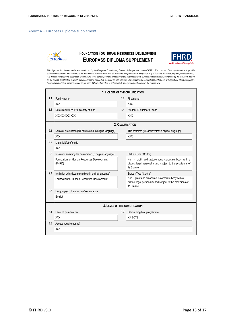## <span id="page-12-0"></span>Annex 4 – Europass Diploma supplement



# **FOUNDATION FOR HUMAN RESOURCES DEVELOPMENT EUROPASS DIPLOMA SUPPLEMENT**



This Diploma Supplement model was developed by the European Commission, Council of Europe and Unesco/CEPES. The purpose of the supplement is to provide sufficient independent data to improve the international 'transparency' and fair academic and professional recognition of qualifications (diplomas, degrees, certificates etc.). It is designed to provide a description of the nature, level, context, content and status of the studies that were pursued and successfully completed by the individual named on the original qualification to which this supplement is appended. It should be free from any value judgements, equivalence statements or suggestions about recognition. *Information in all eight sections should be provided. Where information is not provided, an explanation should give the reason why.*

|     | 1. HOLDER OF THE QUALIFICATION                                  |     |                                                                                                                                  |  |  |  |
|-----|-----------------------------------------------------------------|-----|----------------------------------------------------------------------------------------------------------------------------------|--|--|--|
| 1.1 | Family name                                                     | 1.2 | First name                                                                                                                       |  |  |  |
|     | <b>XXX</b>                                                      |     | <b>XXX</b>                                                                                                                       |  |  |  |
| 1.3 | Date (DD/MM/YYYY), country of birth                             | 1.4 | Student ID number or code                                                                                                        |  |  |  |
|     | XX/XX/XXXX XXX                                                  |     | <b>XXX</b>                                                                                                                       |  |  |  |
|     |                                                                 |     | 2. QUALIFICATION                                                                                                                 |  |  |  |
| 2.1 | Name of qualification (full, abbreviated; in original language) |     | Title conferred (full, abbreviated; in original language)                                                                        |  |  |  |
|     | <b>XXX</b>                                                      |     | <b>XXX</b>                                                                                                                       |  |  |  |
| 2.2 | Main field(s) of study                                          |     |                                                                                                                                  |  |  |  |
|     | <b>XXX</b>                                                      |     |                                                                                                                                  |  |  |  |
| 2.3 | Institution awarding the qualification (in original language)   |     | Status (Type / Control)                                                                                                          |  |  |  |
|     | Foundation for Human Resources Development<br>(FHRD)            |     | Non - profit and autonomous corporate body with a<br>distinct legal personality and subject to the provisions of<br>its Statute. |  |  |  |
| 2.4 | Institution administering studies (in original language)        |     | Status (Type / Control)                                                                                                          |  |  |  |
|     | Foundation for Human Resources Development                      |     | Non - profit and autonomous corporate body with a<br>distinct legal personality and subject to the provisions of<br>its Statute. |  |  |  |
| 2.5 | Language(s) of instruction/examination                          |     |                                                                                                                                  |  |  |  |
|     | English                                                         |     |                                                                                                                                  |  |  |  |
|     |                                                                 |     | 3. LEVEL OF THE QUALIFICATION                                                                                                    |  |  |  |
| 3.1 | Level of qualification                                          | 3.2 | Official length of programme                                                                                                     |  |  |  |
|     | <b>XXX</b>                                                      |     | XX ECTS                                                                                                                          |  |  |  |
| 3.3 | Access requirement(s)                                           |     |                                                                                                                                  |  |  |  |
|     | <b>XXX</b>                                                      |     |                                                                                                                                  |  |  |  |
|     |                                                                 |     |                                                                                                                                  |  |  |  |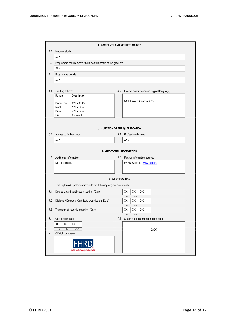|       | 4. CONTENTS AND RESULTS GAINED                                      |     |                                               |  |  |  |  |
|-------|---------------------------------------------------------------------|-----|-----------------------------------------------|--|--|--|--|
| 4.1   | Mode of study                                                       |     |                                               |  |  |  |  |
|       | XXX                                                                 |     |                                               |  |  |  |  |
| 4.2   | Programme requirements / Qualification profile of the graduate      |     |                                               |  |  |  |  |
|       | XXX                                                                 |     |                                               |  |  |  |  |
| 4.3   | Programme details                                                   |     |                                               |  |  |  |  |
|       | XXX                                                                 |     |                                               |  |  |  |  |
|       |                                                                     |     |                                               |  |  |  |  |
| 4.4   | Grading scheme<br><b>Description</b><br>Range                       | 4.5 | Overall classification (in original language) |  |  |  |  |
|       |                                                                     |     | MQF Level 5 Award - XX%                       |  |  |  |  |
|       | Distinction<br>85% - 100%<br>Merit<br>70% - 84%                     |     |                                               |  |  |  |  |
|       | 50% - 69%<br>Pass                                                   |     |                                               |  |  |  |  |
|       | 0% - 49%<br>Fail                                                    |     |                                               |  |  |  |  |
|       |                                                                     |     |                                               |  |  |  |  |
|       |                                                                     |     | 5. FUNCTION OF THE QUALIFICATION              |  |  |  |  |
| 5.1   | Access to further study                                             |     | 5.2 Professional status                       |  |  |  |  |
|       | XXX                                                                 |     | XXX                                           |  |  |  |  |
|       |                                                                     |     |                                               |  |  |  |  |
|       |                                                                     |     | <b>6. ADDITIONAL INFORMATION</b>              |  |  |  |  |
| 6.1   | Additional information                                              | 6.2 | Further information sources                   |  |  |  |  |
|       | Not applicable.                                                     |     | FHRD Website: www.fhrd.org                    |  |  |  |  |
|       |                                                                     |     |                                               |  |  |  |  |
|       |                                                                     |     |                                               |  |  |  |  |
|       | This Diploma Supplement refers to the following original documents: |     | 7. CERTIFICATION                              |  |  |  |  |
|       |                                                                     |     |                                               |  |  |  |  |
| 7.1   | Degree award certificate issued on [Date]                           |     | XX<br>XX<br>XX<br>DD<br>MM<br>YYYY            |  |  |  |  |
| 7.2   | Diploma / Degree / Certificate awarded on [Date]                    |     | XX<br>XX<br>XX                                |  |  |  |  |
|       |                                                                     |     | DD<br>$\mathsf{M}\mathsf{M}$<br>YYYY          |  |  |  |  |
| 7.3   | Transcript of records issued on [Date]                              |     | XX<br>XX<br>XX<br>MM<br>DD<br>YYYY            |  |  |  |  |
| $7.4$ | Certification date                                                  | 7.5 | Chairman of examination committee             |  |  |  |  |
|       | XХ<br>XX<br>XX                                                      |     |                                               |  |  |  |  |
|       | DD<br>$\mathsf{M}\mathsf{M}$<br>YYYY                                |     | XXX                                           |  |  |  |  |
| 7.6   | Official stamp/seal                                                 |     |                                               |  |  |  |  |
|       |                                                                     |     |                                               |  |  |  |  |
|       |                                                                     |     |                                               |  |  |  |  |
|       | all about people                                                    |     |                                               |  |  |  |  |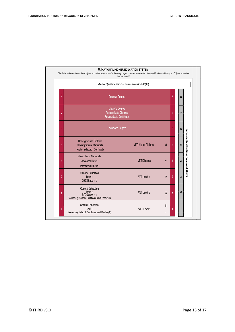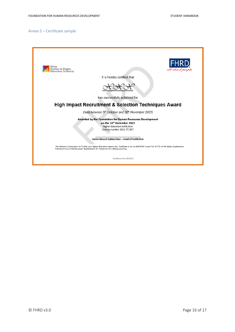## <span id="page-15-0"></span>Annex 5 – Certificate sample